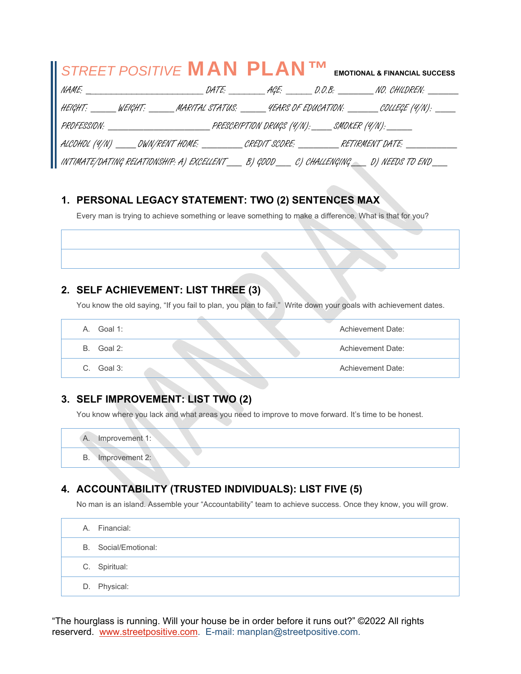| STREET POSITIVE <b>MAN PLAN<sup>TM</sup></b> EMOTIONAL & FINANCIAL SUCCESS                               |  |  |  |
|----------------------------------------------------------------------------------------------------------|--|--|--|
|                                                                                                          |  |  |  |
| HEIGHT: ______ WEIGHT: ______ MARITAL STATUS: ______ 4EARS OF EDUCATION: _______ COLLEGE (4/N): ____     |  |  |  |
|                                                                                                          |  |  |  |
| ALCOHOL (4/N) _____OWN/RENT HOME: __________CREDIT SCORE: __________RETIRMENT DATE: _____________        |  |  |  |
| INTIMATE/DATING RELATIONSHIP: A) EXCELLENT______ B) GDOD______ C) CHALLENGING______ D) NEEDS TO END_____ |  |  |  |

### **1. PERSONAL LEGACY STATEMENT: TWO (2) SENTENCES MAX**

Every man is trying to achieve something or leave something to make a difference. What is that for you?

### **2. SELF ACHIEVEMENT: LIST THREE (3)**

You know the old saying, "If you fail to plan, you plan to fail." Write down your goals with achievement dates.

| Goal 1:<br>А. | Achievement Date: |
|---------------|-------------------|
| Goal 2:<br>B  | Achievement Date: |
| Goal 3:<br>С. | Achievement Date: |

### **3. SELF IMPROVEMENT: LIST TWO (2)**

You know where you lack and what areas you need to improve to move forward. It's time to be honest.

A. Improvement 1: B. Improvement 2:

# **4. ACCOUNTABILITY (TRUSTED INDIVIDUALS): LIST FIVE (5)**

No man is an island. Assemble your "Accountability" team to achieve success. Once they know, you will grow.

|  | A. Financial:        |
|--|----------------------|
|  | B. Social/Emotional: |
|  | C. Spiritual:        |
|  | D. Physical:         |

"The hourglass is running. Will your house be in order before it runs out?" ©2022 All rights reserverd. www.streetpositive.com. E-mail: manplan@streetpositive.com.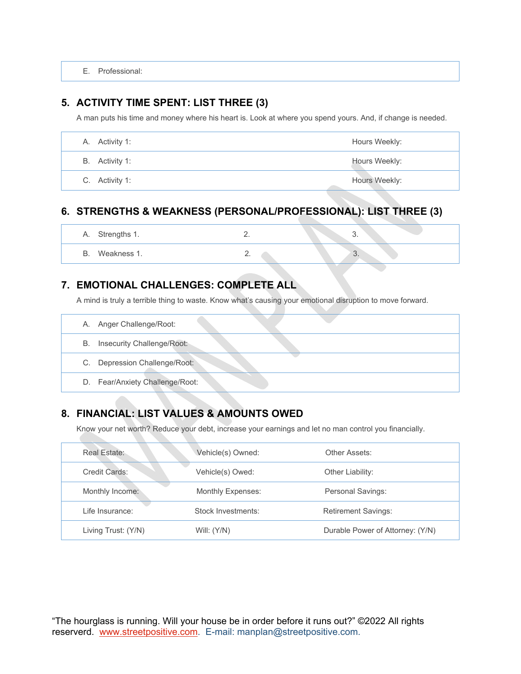E. Professional:

#### **5. ACTIVITY TIME SPENT: LIST THREE (3)**

A man puts his time and money where his heart is. Look at where you spend yours. And, if change is needed.

| A. Activity 1: | Hours Weekly: |
|----------------|---------------|
| B. Activity 1: | Hours Weekly: |
| C. Activity 1: | Hours Weekly: |

## **6. STRENGTHS & WEAKNESS (PERSONAL/PROFESSIONAL): LIST THREE (3)**

| Α. | Strengths 1. | $- \cdot$ | <b>The Contract of Street</b> | U.       |  |
|----|--------------|-----------|-------------------------------|----------|--|
| D. | Weakness 1.  | <u>.</u>  |                               | $\cup$ . |  |

## **7. EMOTIONAL CHALLENGES: COMPLETE ALL**

A mind is truly a terrible thing to waste. Know what's causing your emotional disruption to move forward.

|    | A. Anger Challenge/Root:        |  |
|----|---------------------------------|--|
| В. | Insecurity Challenge/Root:      |  |
|    | C. Depression Challenge/Root:   |  |
|    | D. Fear/Anxiety Challenge/Root: |  |

# **8. FINANCIAL: LIST VALUES & AMOUNTS OWED**

Know your net worth? Reduce your debt, increase your earnings and let no man control you financially.

| Real Estate:        | Vehicle(s) Owned:  | Other Assets:                    |
|---------------------|--------------------|----------------------------------|
| Credit Cards:       | Vehicle(s) Owed:   | Other Liability:                 |
| Monthly Income:     | Monthly Expenses:  | Personal Savings:                |
| Life Insurance:     | Stock Investments: | <b>Retirement Savings:</b>       |
| Living Trust: (Y/N) | Will: $(Y/N)$      | Durable Power of Attorney: (Y/N) |